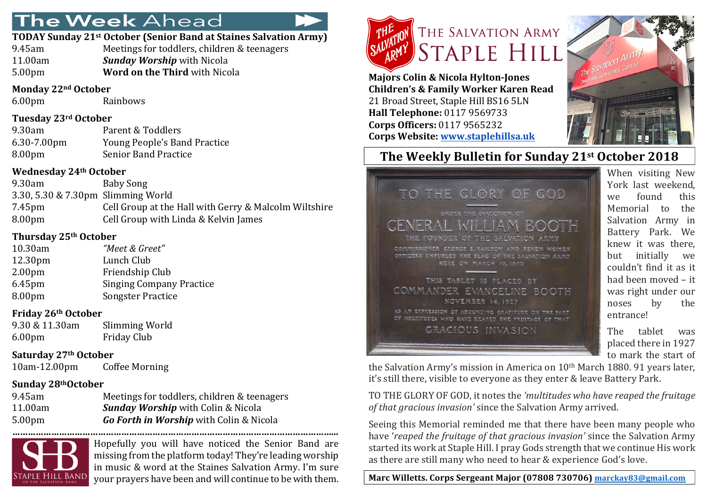# The Week Ahead

#### **TODAY Sunday 21st October (Senior Band at Staines Salvation Army)**

9.45am Meetings for toddlers, children & teenagers 11.00am *Sunday Worship* with Nicola 5.00pm **Word on the Third** with Nicola

#### **Monday 22nd October**

6.00pm Rainbows

### **Tuesday 23rd October**

| 9.30am      | Parent & Toddlers            |
|-------------|------------------------------|
| 6.30-7.00pm | Young People's Band Practice |
| 8.00pm      | <b>Senior Band Practice</b>  |

### **Wednesday 24th October**

9.30am Baby Song 3.30, 5.30 & 7.30pm Slimming World 7.45pm Cell Group at the Hall with Gerry & Malcolm Wiltshire 8.00pm Cell Group with Linda & Kelvin James

### **Thursday 25th October**

| 10.30am            | "Meet & Greet"                  |
|--------------------|---------------------------------|
| 12.30pm            | Lunch Club                      |
| 2.00 <sub>pm</sub> | Friendship Club                 |
| 6.45pm             | <b>Singing Company Practice</b> |
| 8.00pm             | <b>Songster Practice</b>        |

### **Friday 26th October**

| 9.30 & 11.30am     | Slimming World     |
|--------------------|--------------------|
| 6.00 <sub>pm</sub> | <b>Friday Club</b> |

### **Saturday 27th October**

10am-12.00pm Coffee Morning

## Sunday 28<sup>th</sup>October

| 9.45am             |  |
|--------------------|--|
| 11.00am            |  |
| 5.00 <sub>pm</sub> |  |

Meetings for toddlers, children & teenagers **Sunday Worship** with Colin & Nicola **Go Forth in Worship** with Colin & Nicola



Hopefully you will have noticed the Senior Band are missing from the platform today! They're leading worship in music & word at the Staines Salvation Army. I'm sure your prayers have been and will continue to be with them.



**Majors Colin & Nicola Hylton-Jones Children's & Family Worker Karen Read** 21 Broad Street, Staple Hill BS16 5LN **Hall Telephone:** 0117 9569733 **Corps Officers:** 0117 9565232 **Corps Website: www.staplehillsa.uk**

TO



## **The Weekly Bulletin for Sunday 21st October 2018**

OUNDER OF THE SALVATION ISSIONER GEORGE S. RAILTON AND SEVEN WOMEN OFFICERS UNFURLED THE FLAG OF THE SALVATION ARMY

UNDER THE DIRECTION OF

THE GLORY OF GOD

THIS TABLET IS PLACED BY COMMANDER EVANCELINE BOOTH NOVEMBER 14.1927 AS AN EXPRESSION OF ABOUNDING GRATITUDE ON THE PART OF MULTITUDES WHO HAVE REAPED THE FRUITAGE OF THAT GRACIOUS INVASION

When visiting New York last weekend. we found this Memorial to the Salvation Army in Battery Park. We knew it was there. but initially we couldn't find it as it had been moved – it was right under our noses by the entrance!

The tablet was placed there in 1927 to mark the start of

the Salvation Army's mission in America on  $10<sup>th</sup>$  March 1880. 91 years later, it's still there, visible to everyone as they enter & leave Battery Park.

TO THE GLORY OF GOD, it notes the 'multitudes who have reaped the fruitage *of that gracious invasion'* since the Salvation Army arrived.

Seeing this Memorial reminded me that there have been many people who have '*reaped the fruitage of that gracious invasion'* since the Salvation Army started its work at Staple Hill. I pray Gods strength that we continue His work as there are still many who need to hear & experience God's love.

Marc Willetts. Corps Sergeant Major (07808 730706) marckay83@gmail.com